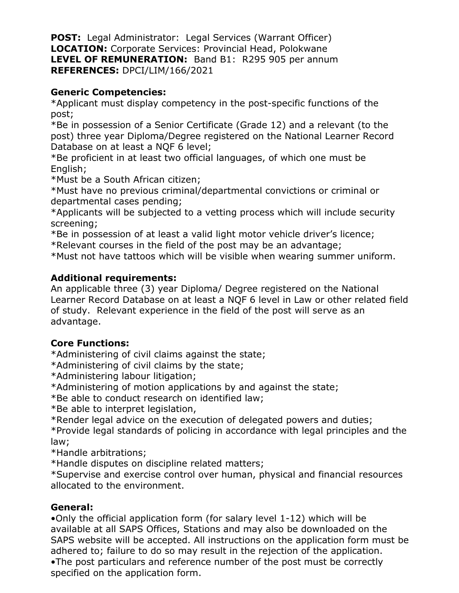**POST:** Legal Administrator: Legal Services (Warrant Officer) **LOCATION:** Corporate Services: Provincial Head, Polokwane **LEVEL OF REMUNERATION:** Band B1: R295 905 per annum **REFERENCES:** DPCI/LIM/166/2021

## **Generic Competencies:**

\*Applicant must display competency in the post-specific functions of the post;

\*Be in possession of a Senior Certificate (Grade 12) and a relevant (to the post) three year Diploma/Degree registered on the National Learner Record Database on at least a NQF 6 level;

\*Be proficient in at least two official languages, of which one must be English;

\*Must be a South African citizen;

\*Must have no previous criminal/departmental convictions or criminal or departmental cases pending;

\*Applicants will be subjected to a vetting process which will include security screening;

\*Be in possession of at least a valid light motor vehicle driver's licence; \*Relevant courses in the field of the post may be an advantage;

\*Must not have tattoos which will be visible when wearing summer uniform.

# **Additional requirements:**

An applicable three (3) year Diploma/ Degree registered on the National Learner Record Database on at least a NQF 6 level in Law or other related field of study. Relevant experience in the field of the post will serve as an advantage.

### **Core Functions:**

\*Administering of civil claims against the state;

\*Administering of civil claims by the state;

\*Administering labour litigation;

\*Administering of motion applications by and against the state;

\*Be able to conduct research on identified law;

\*Be able to interpret legislation,

\*Render legal advice on the execution of delegated powers and duties;

\*Provide legal standards of policing in accordance with legal principles and the law;

\*Handle arbitrations;

\*Handle disputes on discipline related matters;

\*Supervise and exercise control over human, physical and financial resources allocated to the environment.

### **General:**

•Only the official application form (for salary level 1-12) which will be available at all SAPS Offices, Stations and may also be downloaded on the SAPS website will be accepted. All instructions on the application form must be adhered to; failure to do so may result in the rejection of the application. •The post particulars and reference number of the post must be correctly specified on the application form.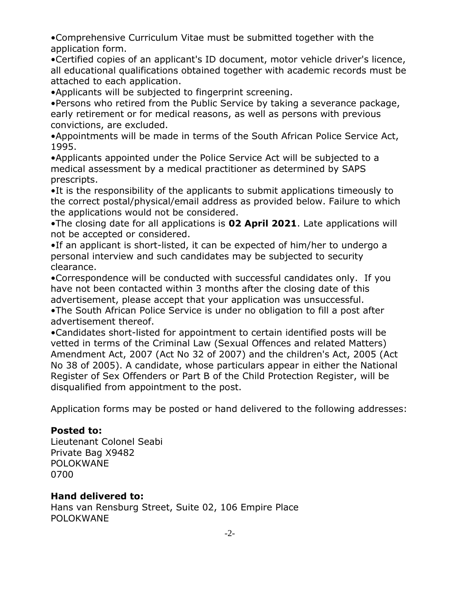•Comprehensive Curriculum Vitae must be submitted together with the application form.

•Certified copies of an applicant's ID document, motor vehicle driver's licence, all educational qualifications obtained together with academic records must be attached to each application.

•Applicants will be subjected to fingerprint screening.

•Persons who retired from the Public Service by taking a severance package, early retirement or for medical reasons, as well as persons with previous convictions, are excluded.

•Appointments will be made in terms of the South African Police Service Act, 1995.

•Applicants appointed under the Police Service Act will be subjected to a medical assessment by a medical practitioner as determined by SAPS prescripts.

•It is the responsibility of the applicants to submit applications timeously to the correct postal/physical/email address as provided below. Failure to which the applications would not be considered.

•The closing date for all applications is **02 April 2021**. Late applications will not be accepted or considered.

•If an applicant is short-listed, it can be expected of him/her to undergo a personal interview and such candidates may be subjected to security clearance.

•Correspondence will be conducted with successful candidates only. If you have not been contacted within 3 months after the closing date of this advertisement, please accept that your application was unsuccessful.

•The South African Police Service is under no obligation to fill a post after advertisement thereof.

•Candidates short-listed for appointment to certain identified posts will be vetted in terms of the Criminal Law (Sexual Offences and related Matters) Amendment Act, 2007 (Act No 32 of 2007) and the children's Act, 2005 (Act No 38 of 2005). A candidate, whose particulars appear in either the National Register of Sex Offenders or Part B of the Child Protection Register, will be disqualified from appointment to the post.

Application forms may be posted or hand delivered to the following addresses:

### **Posted to:**

Lieutenant Colonel Seabi Private Bag X9482 POLOKWANE 0700

### **Hand delivered to:**

Hans van Rensburg Street, Suite 02, 106 Empire Place POLOKWANE